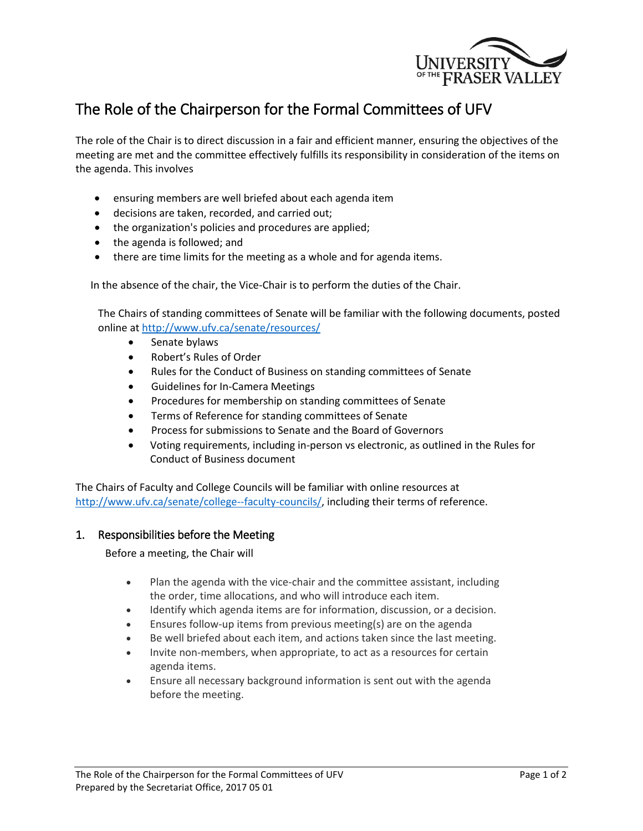

## The Role of the Chairperson for the Formal Committees of UFV

The role of the Chair is to direct discussion in a fair and efficient manner, ensuring the objectives of the meeting are met and the committee effectively fulfills its responsibility in consideration of the items on the agenda. This involves

- ensuring members are well briefed about each agenda item
- decisions are taken, recorded, and carried out;
- the organization's policies and procedures are applied;
- the agenda is followed; and
- there are time limits for the meeting as a whole and for agenda items.

In the absence of the chair, the Vice-Chair is to perform the duties of the Chair.

The Chairs of standing committees of Senate will be familiar with the following documents, posted online at<http://www.ufv.ca/senate/resources/>

- Senate bylaws
- Robert's Rules of Order
- Rules for the Conduct of Business on standing committees of Senate
- Guidelines for In-Camera Meetings
- Procedures for membership on standing committees of Senate
- Terms of Reference for standing committees of Senate
- Process for submissions to Senate and the Board of Governors
- Voting requirements, including in-person vs electronic, as outlined in the Rules for Conduct of Business document

The Chairs of Faculty and College Councils will be familiar with online resources at [http://www.ufv.ca/senate/college--faculty-councils/,](http://www.ufv.ca/senate/college--faculty-councils/) including their terms of reference.

## 1. Responsibilities before the Meeting

Before a meeting, the Chair will

- Plan the agenda with the vice-chair and the committee assistant, including the order, time allocations, and who will introduce each item.
- Identify which agenda items are for information, discussion, or a decision.
- Ensures follow-up items from previous meeting(s) are on the agenda
- Be well briefed about each item, and actions taken since the last meeting.
- Invite non-members, when appropriate, to act as a resources for certain agenda items.
- Ensure all necessary background information is sent out with the agenda before the meeting.